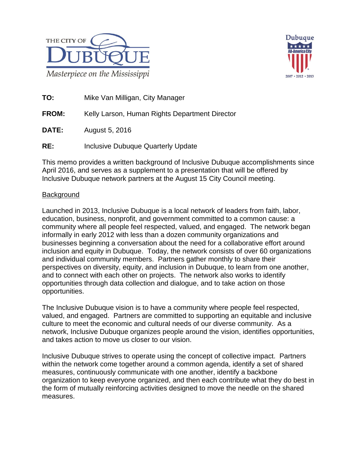



**TO:** Mike Van Milligan, City Manager

**FROM:** Kelly Larson, Human Rights Department Director

**DATE:** August 5, 2016

**RE:** Inclusive Dubuque Quarterly Update

This memo provides a written background of Inclusive Dubuque accomplishments since April 2016, and serves as a supplement to a presentation that will be offered by Inclusive Dubuque network partners at the August 15 City Council meeting.

### **Background**

Launched in 2013, Inclusive Dubuque is a local network of leaders from faith, labor, education, business, nonprofit, and government committed to a common cause: a community where all people feel respected, valued, and engaged. The network began informally in early 2012 with less than a dozen community organizations and businesses beginning a conversation about the need for a collaborative effort around inclusion and equity in Dubuque. Today, the network consists of over 60 organizations and individual community members. Partners gather monthly to share their perspectives on diversity, equity, and inclusion in Dubuque, to learn from one another, and to connect with each other on projects. The network also works to identify opportunities through data collection and dialogue, and to take action on those opportunities.

The Inclusive Dubuque vision is to have a community where people feel respected, valued, and engaged. Partners are committed to supporting an equitable and inclusive culture to meet the economic and cultural needs of our diverse community. As a network, Inclusive Dubuque organizes people around the vision, identifies opportunities, and takes action to move us closer to our vision.

Inclusive Dubuque strives to operate using the concept of collective impact. Partners within the network come together around a common agenda, identify a set of shared measures, continuously communicate with one another, identify a backbone organization to keep everyone organized, and then each contribute what they do best in the form of mutually reinforcing activities designed to move the needle on the shared measures.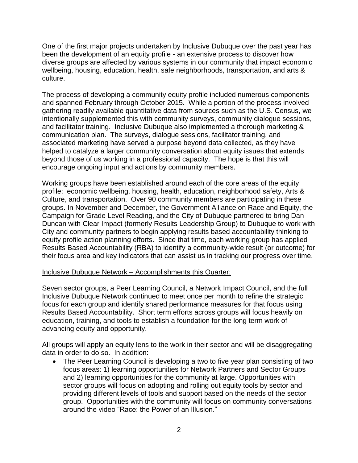One of the first major projects undertaken by Inclusive Dubuque over the past year has been the development of an equity profile - an extensive process to discover how diverse groups are affected by various systems in our community that impact economic wellbeing, housing, education, health, safe neighborhoods, transportation, and arts & culture.

The process of developing a community equity profile included numerous components and spanned February through October 2015. While a portion of the process involved gathering readily available quantitative data from sources such as the U.S. Census, we intentionally supplemented this with community surveys, community dialogue sessions, and facilitator training. Inclusive Dubuque also implemented a thorough marketing & communication plan. The surveys, dialogue sessions, facilitator training, and associated marketing have served a purpose beyond data collected, as they have helped to catalyze a larger community conversation about equity issues that extends beyond those of us working in a professional capacity. The hope is that this will encourage ongoing input and actions by community members.

Working groups have been established around each of the core areas of the equity profile: economic wellbeing, housing, health, education, neighborhood safety, Arts & Culture, and transportation. Over 90 community members are participating in these groups. In November and December, the Government Alliance on Race and Equity, the Campaign for Grade Level Reading, and the City of Dubuque partnered to bring Dan Duncan with Clear Impact (formerly Results Leadership Group) to Dubuque to work with City and community partners to begin applying results based accountability thinking to equity profile action planning efforts. Since that time, each working group has applied Results Based Accountability (RBA) to identify a community-wide result (or outcome) for their focus area and key indicators that can assist us in tracking our progress over time.

#### Inclusive Dubuque Network – Accomplishments this Quarter:

Seven sector groups, a Peer Learning Council, a Network Impact Council, and the full Inclusive Dubuque Network continued to meet once per month to refine the strategic focus for each group and identify shared performance measures for that focus using Results Based Accountability. Short term efforts across groups will focus heavily on education, training, and tools to establish a foundation for the long term work of advancing equity and opportunity.

All groups will apply an equity lens to the work in their sector and will be disaggregating data in order to do so. In addition:

 The Peer Learning Council is developing a two to five year plan consisting of two focus areas: 1) learning opportunities for Network Partners and Sector Groups and 2) learning opportunities for the community at large. Opportunities with sector groups will focus on adopting and rolling out equity tools by sector and providing different levels of tools and support based on the needs of the sector group. Opportunities with the community will focus on community conversations around the video "Race: the Power of an Illusion."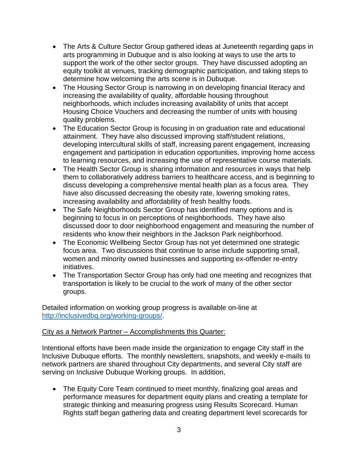- The Arts & Culture Sector Group gathered ideas at Juneteenth regarding gaps in arts programming in Dubuque and is also looking at ways to use the arts to support the work of the other sector groups. They have discussed adopting an equity toolkit at venues, tracking demographic participation, and taking steps to determine how welcoming the arts scene is in Dubuque.
- The Housing Sector Group is narrowing in on developing financial literacy and increasing the availability of quality, affordable housing throughout neighborhoods, which includes increasing availability of units that accept Housing Choice Vouchers and decreasing the number of units with housing quality problems.
- The Education Sector Group is focusing in on graduation rate and educational attainment. They have also discussed improving staff/student relations, developing intercultural skills of staff, increasing parent engagement, increasing engagement and participation in education opportunities, improving home access to learning resources, and increasing the use of representative course materials.
- The Health Sector Group is sharing information and resources in ways that help them to collaboratively address barriers to healthcare access, and is beginning to discuss developing a comprehensive mental health plan as a focus area. They have also discussed decreasing the obesity rate, lowering smoking rates, increasing availability and affordability of fresh healthy foods.
- The Safe Neighborhoods Sector Group has identified many options and is beginning to focus in on perceptions of neighborhoods. They have also discussed door to door neighborhood engagement and measuring the number of residents who know their neighbors in the Jackson Park neighborhood.
- The Economic Wellbeing Sector Group has not yet determined one strategic focus area. Two discussions that continue to arise include supporting small, women and minority owned businesses and supporting ex-offender re-entry initiatives.
- The Transportation Sector Group has only had one meeting and recognizes that transportation is likely to be crucial to the work of many of the other sector groups.

Detailed information on working group progress is available on-line at [http://inclusivedbq.org/working-groups/.](http://inclusivedbq.org/working-groups/)

# City as a Network Partner – Accomplishments this Quarter:

Intentional efforts have been made inside the organization to engage City staff in the Inclusive Dubuque efforts. The monthly newsletters, snapshots, and weekly e-mails to network partners are shared throughout City departments, and several City staff are serving on Inclusive Dubuque Working groups. In addition,

• The Equity Core Team continued to meet monthly, finalizing goal areas and performance measures for department equity plans and creating a template for strategic thinking and measuring progress using Results Scorecard. Human Rights staff began gathering data and creating department level scorecards for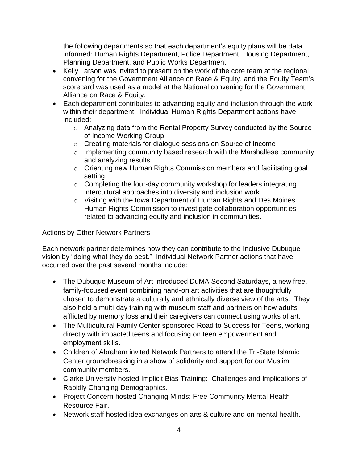the following departments so that each department's equity plans will be data informed: Human Rights Department, Police Department, Housing Department, Planning Department, and Public Works Department.

- Kelly Larson was invited to present on the work of the core team at the regional convening for the Government Alliance on Race & Equity, and the Equity Team's scorecard was used as a model at the National convening for the Government Alliance on Race & Equity.
- Each department contributes to advancing equity and inclusion through the work within their department. Individual Human Rights Department actions have included:
	- o Analyzing data from the Rental Property Survey conducted by the Source of Income Working Group
	- o Creating materials for dialogue sessions on Source of Income
	- o Implementing community based research with the Marshallese community and analyzing results
	- o Orienting new Human Rights Commission members and facilitating goal setting
	- $\circ$  Completing the four-day community workshop for leaders integrating intercultural approaches into diversity and inclusion work
	- o Visiting with the Iowa Department of Human Rights and Des Moines Human Rights Commission to investigate collaboration opportunities related to advancing equity and inclusion in communities.

# Actions by Other Network Partners

Each network partner determines how they can contribute to the Inclusive Dubuque vision by "doing what they do best." Individual Network Partner actions that have occurred over the past several months include:

- The Dubuque Museum of Art introduced DuMA Second Saturdays, a new free, family-focused event combining hand-on art activities that are thoughtfully chosen to demonstrate a culturally and ethnically diverse view of the arts. They also held a multi-day training with museum staff and partners on how adults afflicted by memory loss and their caregivers can connect using works of art.
- The Multicultural Family Center sponsored Road to Success for Teens, working directly with impacted teens and focusing on teen empowerment and employment skills.
- Children of Abraham invited Network Partners to attend the Tri-State Islamic Center groundbreaking in a show of solidarity and support for our Muslim community members.
- Clarke University hosted Implicit Bias Training: Challenges and Implications of Rapidly Changing Demographics.
- Project Concern hosted Changing Minds: Free Community Mental Health Resource Fair.
- Network staff hosted idea exchanges on arts & culture and on mental health.